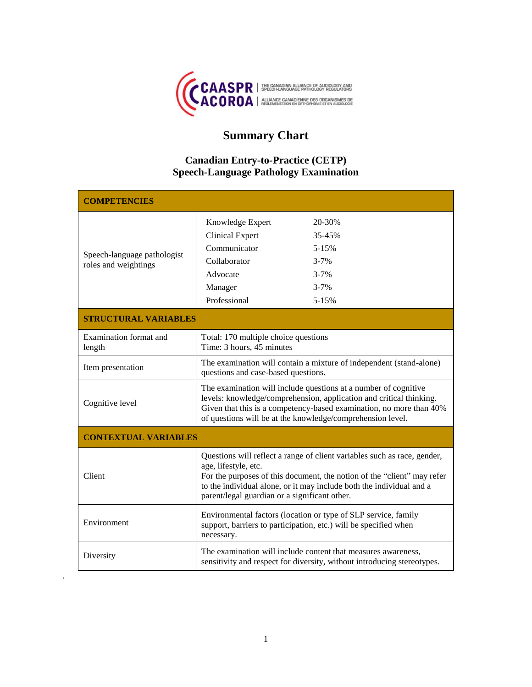

# **Summary Chart**

## **Canadian Entry-to-Practice (CETP) Speech-Language Pathology Examination**

| <b>COMPETENCIES</b>                                 |                                                                                                                                                                                                                                                                                                      |                                                                                |
|-----------------------------------------------------|------------------------------------------------------------------------------------------------------------------------------------------------------------------------------------------------------------------------------------------------------------------------------------------------------|--------------------------------------------------------------------------------|
| Speech-language pathologist<br>roles and weightings | Knowledge Expert<br><b>Clinical Expert</b><br>Communicator<br>Collaborator<br>Advocate<br>Manager<br>Professional                                                                                                                                                                                    | 20-30%<br>35-45%<br>$5 - 15%$<br>$3 - 7%$<br>$3 - 7%$<br>$3 - 7%$<br>$5 - 15%$ |
| <b>STRUCTURAL VARIABLES</b>                         |                                                                                                                                                                                                                                                                                                      |                                                                                |
| Examination format and<br>length                    | Total: 170 multiple choice questions<br>Time: 3 hours, 45 minutes                                                                                                                                                                                                                                    |                                                                                |
| Item presentation                                   | The examination will contain a mixture of independent (stand-alone)<br>questions and case-based questions.                                                                                                                                                                                           |                                                                                |
| Cognitive level                                     | The examination will include questions at a number of cognitive<br>levels: knowledge/comprehension, application and critical thinking.<br>Given that this is a competency-based examination, no more than 40%<br>of questions will be at the knowledge/comprehension level.                          |                                                                                |
| <b>CONTEXTUAL VARIABLES</b>                         |                                                                                                                                                                                                                                                                                                      |                                                                                |
| <b>Client</b>                                       | Questions will reflect a range of client variables such as race, gender,<br>age, lifestyle, etc.<br>For the purposes of this document, the notion of the "client" may refer<br>to the individual alone, or it may include both the individual and a<br>parent/legal guardian or a significant other. |                                                                                |
| Environment                                         | Environmental factors (location or type of SLP service, family<br>support, barriers to participation, etc.) will be specified when<br>necessary.                                                                                                                                                     |                                                                                |
| Diversity                                           | The examination will include content that measures awareness,<br>sensitivity and respect for diversity, without introducing stereotypes.                                                                                                                                                             |                                                                                |

.